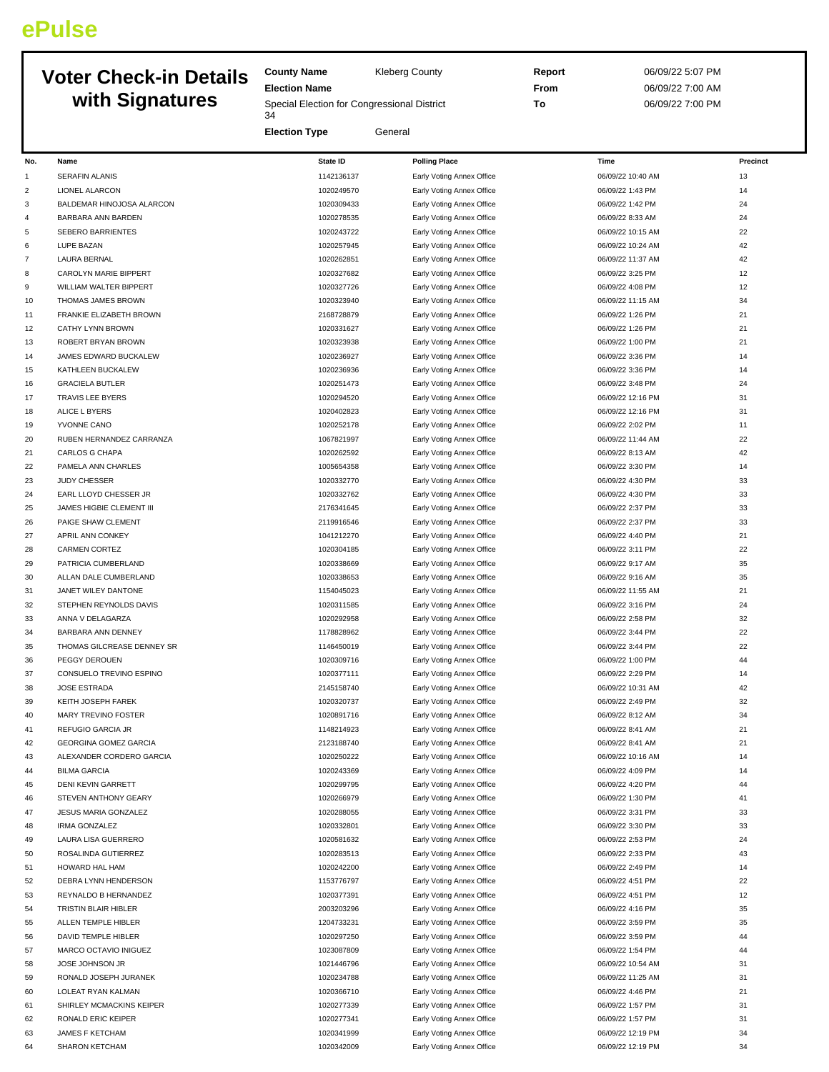## **ePulse**

## **Voter Check-in Details**

**County Name** Kleberg County **Election Name with Signatures**

**Election Type** General

Special Election for Congressional District

**Report** 06/09/22 5:07 PM **From** 06/09/22 7:00 AM **To** 06/09/22 7:00 PM

| No.            | Name                         | State ID   | <b>Polling Place</b>      | Time              | Precinct |
|----------------|------------------------------|------------|---------------------------|-------------------|----------|
| 1              | <b>SERAFIN ALANIS</b>        | 1142136137 | Early Voting Annex Office | 06/09/22 10:40 AM | 13       |
| $\overline{2}$ | <b>LIONEL ALARCON</b>        | 1020249570 | Early Voting Annex Office | 06/09/22 1:43 PM  | 14       |
| 3              | BALDEMAR HINOJOSA ALARCON    | 1020309433 | Early Voting Annex Office | 06/09/22 1:42 PM  | 24       |
| $\overline{4}$ | BARBARA ANN BARDEN           | 1020278535 | Early Voting Annex Office | 06/09/22 8:33 AM  | 24       |
| 5              | SEBERO BARRIENTES            | 1020243722 | Early Voting Annex Office | 06/09/22 10:15 AM | 22       |
|                |                              |            |                           |                   | 42       |
| 6              | LUPE BAZAN                   | 1020257945 | Early Voting Annex Office | 06/09/22 10:24 AM |          |
| $\overline{7}$ | <b>LAURA BERNAL</b>          | 1020262851 | Early Voting Annex Office | 06/09/22 11:37 AM | 42       |
| 8              | CAROLYN MARIE BIPPERT        | 1020327682 | Early Voting Annex Office | 06/09/22 3:25 PM  | 12       |
| 9              | WILLIAM WALTER BIPPERT       | 1020327726 | Early Voting Annex Office | 06/09/22 4:08 PM  | 12       |
| 10             | THOMAS JAMES BROWN           | 1020323940 | Early Voting Annex Office | 06/09/22 11:15 AM | 34       |
| 11             | FRANKIE ELIZABETH BROWN      | 2168728879 | Early Voting Annex Office | 06/09/22 1:26 PM  | 21       |
| 12             | <b>CATHY LYNN BROWN</b>      | 1020331627 | Early Voting Annex Office | 06/09/22 1:26 PM  | 21       |
| 13             | ROBERT BRYAN BROWN           | 1020323938 | Early Voting Annex Office | 06/09/22 1:00 PM  | 21       |
| 14             | JAMES EDWARD BUCKALEW        | 1020236927 | Early Voting Annex Office | 06/09/22 3:36 PM  | 14       |
| 15             | KATHLEEN BUCKALEW            | 1020236936 | Early Voting Annex Office | 06/09/22 3:36 PM  | 14       |
| 16             | <b>GRACIELA BUTLER</b>       | 1020251473 | Early Voting Annex Office | 06/09/22 3:48 PM  | 24       |
| 17             | <b>TRAVIS LEE BYERS</b>      | 1020294520 | Early Voting Annex Office | 06/09/22 12:16 PM | 31       |
| 18             | ALICE L BYERS                | 1020402823 | Early Voting Annex Office | 06/09/22 12:16 PM | 31       |
| 19             | YVONNE CANO                  | 1020252178 | Early Voting Annex Office | 06/09/22 2:02 PM  | 11       |
| 20             | RUBEN HERNANDEZ CARRANZA     | 1067821997 | Early Voting Annex Office | 06/09/22 11:44 AM | 22       |
|                | <b>CARLOS G CHAPA</b>        |            |                           |                   | 42       |
| 21             |                              | 1020262592 | Early Voting Annex Office | 06/09/22 8:13 AM  |          |
| 22             | PAMELA ANN CHARLES           | 1005654358 | Early Voting Annex Office | 06/09/22 3:30 PM  | 14       |
| 23             | <b>JUDY CHESSER</b>          | 1020332770 | Early Voting Annex Office | 06/09/22 4:30 PM  | 33       |
| 24             | EARL LLOYD CHESSER JR        | 1020332762 | Early Voting Annex Office | 06/09/22 4:30 PM  | 33       |
| 25             | JAMES HIGBIE CLEMENT III     | 2176341645 | Early Voting Annex Office | 06/09/22 2:37 PM  | 33       |
| 26             | PAIGE SHAW CLEMENT           | 2119916546 | Early Voting Annex Office | 06/09/22 2:37 PM  | 33       |
| 27             | APRIL ANN CONKEY             | 1041212270 | Early Voting Annex Office | 06/09/22 4:40 PM  | 21       |
| 28             | CARMEN CORTEZ                | 1020304185 | Early Voting Annex Office | 06/09/22 3:11 PM  | 22       |
| 29             | PATRICIA CUMBERLAND          | 1020338669 | Early Voting Annex Office | 06/09/22 9:17 AM  | 35       |
| 30             | ALLAN DALE CUMBERLAND        | 1020338653 | Early Voting Annex Office | 06/09/22 9:16 AM  | 35       |
| 31             | JANET WILEY DANTONE          | 1154045023 | Early Voting Annex Office | 06/09/22 11:55 AM | 21       |
| 32             | STEPHEN REYNOLDS DAVIS       | 1020311585 | Early Voting Annex Office | 06/09/22 3:16 PM  | 24       |
| 33             | ANNA V DELAGARZA             | 1020292958 | Early Voting Annex Office | 06/09/22 2:58 PM  | 32       |
| 34             | BARBARA ANN DENNEY           | 1178828962 | Early Voting Annex Office | 06/09/22 3:44 PM  | 22       |
| 35             | THOMAS GILCREASE DENNEY SR   | 1146450019 | Early Voting Annex Office | 06/09/22 3:44 PM  | 22       |
| 36             | PEGGY DEROUEN                | 1020309716 | Early Voting Annex Office | 06/09/22 1:00 PM  | 44       |
| 37             | CONSUELO TREVINO ESPINO      | 1020377111 | Early Voting Annex Office | 06/09/22 2:29 PM  | 14       |
| 38             | <b>JOSE ESTRADA</b>          | 2145158740 | Early Voting Annex Office | 06/09/22 10:31 AM | 42       |
| 39             | KEITH JOSEPH FAREK           | 1020320737 |                           | 06/09/22 2:49 PM  | 32       |
|                |                              |            | Early Voting Annex Office |                   |          |
| 40             | MARY TREVINO FOSTER          | 1020891716 | Early Voting Annex Office | 06/09/22 8:12 AM  | 34       |
| 41             | REFUGIO GARCIA JR            | 1148214923 | Early Voting Annex Office | 06/09/22 8:41 AM  | 21       |
| 42             | <b>GEORGINA GOMEZ GARCIA</b> | 2123188740 | Early Voting Annex Office | 06/09/22 8:41 AM  | 21       |
| 43             | ALEXANDER CORDERO GARCIA     | 1020250222 | Early Voting Annex Office | 06/09/22 10:16 AM | 14       |
| 44             | <b>BILMA GARCIA</b>          | 1020243369 | Early Voting Annex Office | 06/09/22 4:09 PM  | 14       |
| 45             | <b>DENI KEVIN GARRETT</b>    | 1020299795 | Early Voting Annex Office | 06/09/22 4:20 PM  | 44       |
| 46             | STEVEN ANTHONY GEARY         | 1020266979 | Early Voting Annex Office | 06/09/22 1:30 PM  | 41       |
| 47             | JESUS MARIA GONZALEZ         | 1020288055 | Early Voting Annex Office | 06/09/22 3:31 PM  | 33       |
| 48             | <b>IRMA GONZALEZ</b>         | 1020332801 | Early Voting Annex Office | 06/09/22 3:30 PM  | 33       |
| 49             | LAURA LISA GUERRERO          | 1020581632 | Early Voting Annex Office | 06/09/22 2:53 PM  | 24       |
| 50             | ROSALINDA GUTIERREZ          | 1020283513 | Early Voting Annex Office | 06/09/22 2:33 PM  | 43       |
| 51             | HOWARD HAL HAM               | 1020242200 | Early Voting Annex Office | 06/09/22 2:49 PM  | 14       |
| 52             | DEBRA LYNN HENDERSON         | 1153776797 | Early Voting Annex Office | 06/09/22 4:51 PM  | 22       |
| 53             | REYNALDO B HERNANDEZ         | 1020377391 | Early Voting Annex Office | 06/09/22 4:51 PM  | 12       |
| 54             | TRISTIN BLAIR HIBLER         | 2003203296 | Early Voting Annex Office | 06/09/22 4:16 PM  | 35       |
| 55             | ALLEN TEMPLE HIBLER          | 1204733231 | Early Voting Annex Office | 06/09/22 3:59 PM  | 35       |
| 56             | DAVID TEMPLE HIBLER          | 1020297250 | Early Voting Annex Office | 06/09/22 3:59 PM  | 44       |
| 57             | MARCO OCTAVIO INIGUEZ        | 1023087809 | Early Voting Annex Office | 06/09/22 1:54 PM  | 44       |
|                |                              |            |                           |                   |          |
| 58             | JOSE JOHNSON JR              | 1021446796 | Early Voting Annex Office | 06/09/22 10:54 AM | 31       |
| 59             | RONALD JOSEPH JURANEK        | 1020234788 | Early Voting Annex Office | 06/09/22 11:25 AM | 31       |
| 60             | LOLEAT RYAN KALMAN           | 1020366710 | Early Voting Annex Office | 06/09/22 4:46 PM  | 21       |
| 61             | SHIRLEY MCMACKINS KEIPER     | 1020277339 | Early Voting Annex Office | 06/09/22 1:57 PM  | 31       |
| 62             | RONALD ERIC KEIPER           | 1020277341 | Early Voting Annex Office | 06/09/22 1:57 PM  | 31       |
| 63             | JAMES F KETCHAM              | 1020341999 | Early Voting Annex Office | 06/09/22 12:19 PM | 34       |
| 64             | SHARON KETCHAM               | 1020342009 | Early Voting Annex Office | 06/09/22 12:19 PM | 34       |